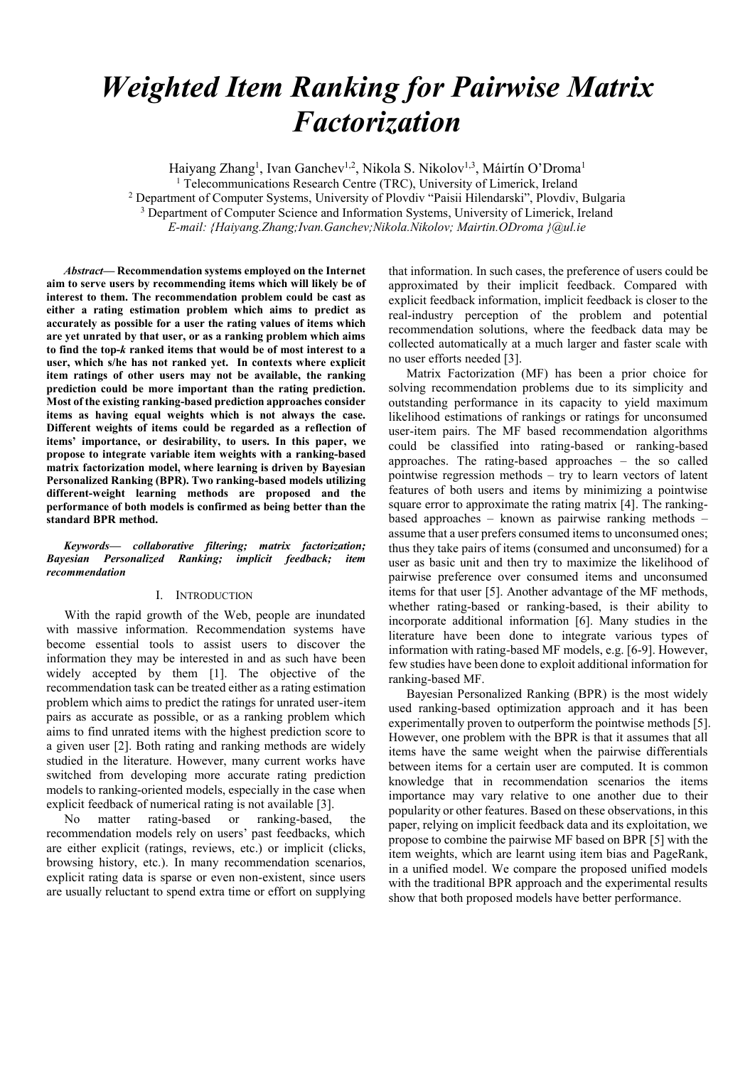# *Weighted Item Ranking for Pairwise Matrix Factorization*

Haiyang Zhang<sup>1</sup>, Ivan Ganchev<sup>1,2</sup>, Nikola S. Nikolov<sup>1,3</sup>, Máirtín O'Droma<sup>1</sup> <sup>1</sup> Telecommunications Research Centre (TRC), University of Limerick, Ireland<br><sup>2</sup> Department of Computer Systems, University of Ploydiy "Paisii Hilendarski", Ploydiy Department of Computer Systems, University of Plovdiv "Paisii Hilendarski", Plovdiv, Bulgaria <sup>3</sup> Department of Computer Science and Information Systems, University of Limerick, Ireland *E-mail: {Haiyang.Zhang;Ivan.Ganchev;Nikola.Nikolov; Mairtin.ODroma }@ul.ie* 

*Abstract***— Recommendation systems employed on the Internet aim to serve users by recommending items which will likely be of interest to them. The recommendation problem could be cast as either a rating estimation problem which aims to predict as accurately as possible for a user the rating values of items which are yet unrated by that user, or as a ranking problem which aims to find the top-***k* **ranked items that would be of most interest to a user, which s/he has not ranked yet. In contexts where explicit item ratings of other users may not be available, the ranking prediction could be more important than the rating prediction. Most of the existing ranking-based prediction approaches consider items as having equal weights which is not always the case. Different weights of items could be regarded as a reflection of items' importance, or desirability, to users. In this paper, we propose to integrate variable item weights with a ranking-based matrix factorization model, where learning is driven by Bayesian Personalized Ranking (BPR). Two ranking-based models utilizing different-weight learning methods are proposed and the performance of both models is confirmed as being better than the standard BPR method.** 

*Keywords— collaborative filtering; matrix factorization; Bayesian Personalized Ranking; implicit feedback; item recommendation* 

#### I. INTRODUCTION

With the rapid growth of the Web, people are inundated with massive information. Recommendation systems have become essential tools to assist users to discover the information they may be interested in and as such have been widely accepted by them [1]. The objective of the recommendation task can be treated either as a rating estimation problem which aims to predict the ratings for unrated user-item pairs as accurate as possible, or as a ranking problem which aims to find unrated items with the highest prediction score to a given user [2]. Both rating and ranking methods are widely studied in the literature. However, many current works have switched from developing more accurate rating prediction models to ranking-oriented models, especially in the case when explicit feedback of numerical rating is not available [3].

No matter rating-based or ranking-based, the recommendation models rely on users' past feedbacks, which are either explicit (ratings, reviews, etc.) or implicit (clicks, browsing history, etc.). In many recommendation scenarios, explicit rating data is sparse or even non-existent, since users are usually reluctant to spend extra time or effort on supplying

that information. In such cases, the preference of users could be approximated by their implicit feedback. Compared with explicit feedback information, implicit feedback is closer to the real-industry perception of the problem and potential recommendation solutions, where the feedback data may be collected automatically at a much larger and faster scale with no user efforts needed [3].

Matrix Factorization (MF) has been a prior choice for solving recommendation problems due to its simplicity and outstanding performance in its capacity to yield maximum likelihood estimations of rankings or ratings for unconsumed user-item pairs. The MF based recommendation algorithms could be classified into rating-based or ranking-based approaches. The rating-based approaches – the so called pointwise regression methods – try to learn vectors of latent features of both users and items by minimizing a pointwise square error to approximate the rating matrix [4]. The rankingbased approaches – known as pairwise ranking methods – assume that a user prefers consumed items to unconsumed ones; thus they take pairs of items (consumed and unconsumed) for a user as basic unit and then try to maximize the likelihood of pairwise preference over consumed items and unconsumed items for that user [5]. Another advantage of the MF methods, whether rating-based or ranking-based, is their ability to incorporate additional information [6]. Many studies in the literature have been done to integrate various types of information with rating-based MF models, e.g. [6-9]. However, few studies have been done to exploit additional information for ranking-based MF.

Bayesian Personalized Ranking (BPR) is the most widely used ranking-based optimization approach and it has been experimentally proven to outperform the pointwise methods [5]. However, one problem with the BPR is that it assumes that all items have the same weight when the pairwise differentials between items for a certain user are computed. It is common knowledge that in recommendation scenarios the items importance may vary relative to one another due to their popularity or other features. Based on these observations, in this paper, relying on implicit feedback data and its exploitation, we propose to combine the pairwise MF based on BPR [5] with the item weights, which are learnt using item bias and PageRank, in a unified model. We compare the proposed unified models with the traditional BPR approach and the experimental results show that both proposed models have better performance.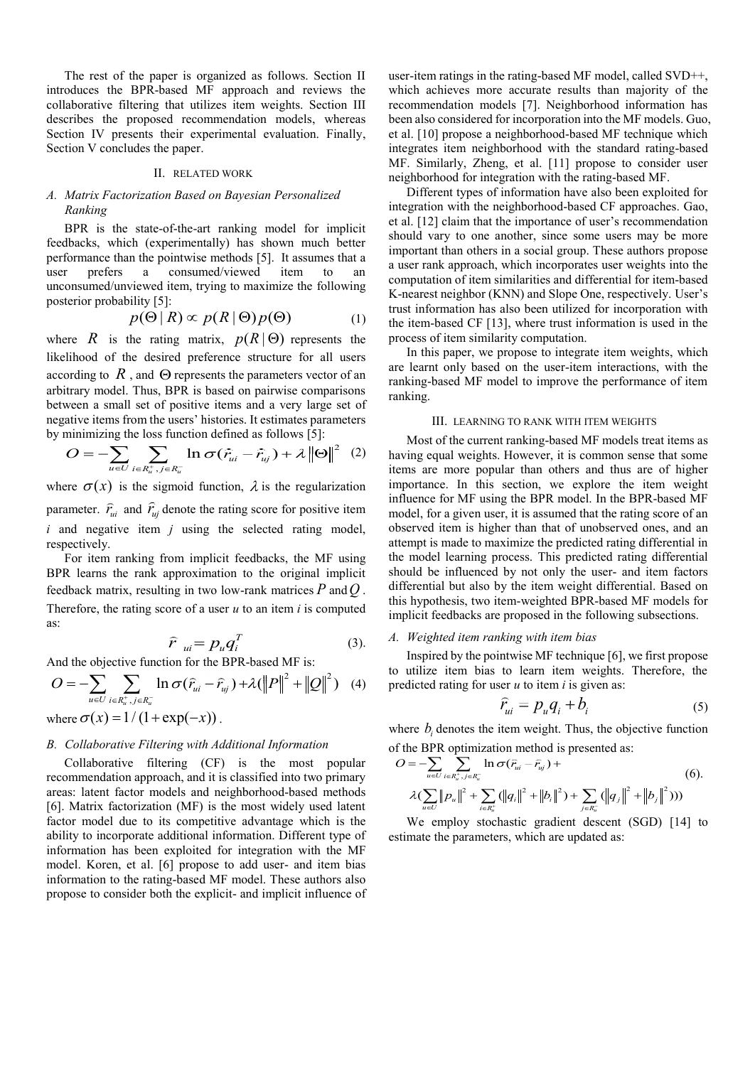The rest of the paper is organized as follows. Section II introduces the BPR-based MF approach and reviews the collaborative filtering that utilizes item weights. Section III describes the proposed recommendation models, whereas Section IV presents their experimental evaluation. Finally, Section V concludes the paper.

#### II. RELATED WORK

## *A. Matrix Factorization Based on Bayesian Personalized Ranking*

BPR is the state-of-the-art ranking model for implicit feedbacks, which (experimentally) has shown much better performance than the pointwise methods [5]. It assumes that a user prefers a consumed/viewed item to an unconsumed/unviewed item, trying to maximize the following posterior probability [5]:

$$
p(\Theta | R) \propto p(R | \Theta) p(\Theta) \tag{1}
$$

where *R* is the rating matrix,  $p(R|\Theta)$  represents the likelihood of the desired preference structure for all users according to  $R$ , and  $\Theta$  represents the parameters vector of an arbitrary model. Thus, BPR is based on pairwise comparisons between a small set of positive items and a very large set of negative items from the users' histories. It estimates parameters by minimizing the loss function defined as follows [5]: 2

$$
O = -\sum_{u \in U} \sum_{i \in R_u^+, j \in R_u^-} \ln \sigma(\hat{r}_{ui} - \hat{r}_{uj}) + \lambda \|\Theta\|^2 \quad (2)
$$

where  $\sigma(x)$  is the sigmoid function,  $\lambda$  is the regularization parameter.  $\hat{r}_{ui}$  and  $\hat{r}_{ui}$  denote the rating score for positive item *i* and negative item *j* using the selected rating model, respectively.

For item ranking from implicit feedbacks, the MF using BPR learns the rank approximation to the original implicit feedback matrix, resulting in two low-rank matrices *P* and*Q* . Therefore, the rating score of a user *u* to an item *i* is computed as:

$$
\widehat{r}_{ui} = p_u q_i^T \tag{3}
$$

And the objective function for the BPR-based MF is:

$$
O = -\sum_{u \in U} \sum_{i \in R_u^+, j \in R_u^-} \ln \sigma(\widehat{r}_{ui} - \widehat{r}_{uj}) + \lambda (\left\| P \right\|^2 + \left\| Q \right\|^2) \quad (4)
$$

where  $\sigma(x) = 1/(1 + \exp(-x))$ .

## *B. Collaborative Filtering with Additional Information*

Collaborative filtering (CF) is the most popular recommendation approach, and it is classified into two primary areas: latent factor models and neighborhood-based methods [6]. Matrix factorization (MF) is the most widely used latent factor model due to its competitive advantage which is the ability to incorporate additional information. Different type of information has been exploited for integration with the MF model. Koren, et al. [6] propose to add user- and item bias information to the rating-based MF model. These authors also propose to consider both the explicit- and implicit influence of user-item ratings in the rating-based MF model, called SVD++, which achieves more accurate results than majority of the recommendation models [7]. Neighborhood information has been also considered for incorporation into the MF models. Guo, et al. [10] propose a neighborhood-based MF technique which integrates item neighborhood with the standard rating-based MF. Similarly, Zheng, et al. [11] propose to consider user neighborhood for integration with the rating-based MF.

Different types of information have also been exploited for integration with the neighborhood-based CF approaches. Gao, et al. [12] claim that the importance of user's recommendation should vary to one another, since some users may be more important than others in a social group. These authors propose a user rank approach, which incorporates user weights into the computation of item similarities and differential for item-based K-nearest neighbor (KNN) and Slope One, respectively. User's trust information has also been utilized for incorporation with the item-based CF [13], where trust information is used in the process of item similarity computation.

In this paper, we propose to integrate item weights, which are learnt only based on the user-item interactions, with the ranking-based MF model to improve the performance of item ranking.

### III. LEARNING TO RANK WITH ITEM WEIGHTS

Most of the current ranking-based MF models treat items as having equal weights. However, it is common sense that some items are more popular than others and thus are of higher importance. In this section, we explore the item weight influence for MF using the BPR model. In the BPR-based MF model, for a given user, it is assumed that the rating score of an observed item is higher than that of unobserved ones, and an attempt is made to maximize the predicted rating differential in the model learning process. This predicted rating differential should be influenced by not only the user- and item factors differential but also by the item weight differential. Based on this hypothesis, two item-weighted BPR-based MF models for implicit feedbacks are proposed in the following subsections.

## *A. Weighted item ranking with item bias*

Inspired by the pointwise MF technique [6], we first propose to utilize item bias to learn item weights. Therefore, the predicted rating for user *u* to item *i* is given as:

$$
\widehat{r}_{ui} = p_u q_i + b_i \tag{5}
$$

where  $b_i$  denotes the item weight. Thus, the objective function of the BPR optimization method is presented as:

$$
O = -\sum_{u \in U} \sum_{i \in R_u^+, j \in R_u^-} \ln \sigma(\hat{r}_{ui} - \hat{r}_{uj}) +
$$
  

$$
\lambda (\sum_{u \in U} ||p_u||^2 + \sum_{i \in R_u^+} (||q_i||^2 + ||b_i||^2) + \sum_{j \in R_u^-} (||q_j||^2 + ||b_j||^2)))
$$
(6).

We employ stochastic gradient descent (SGD) [14] to estimate the parameters, which are updated as: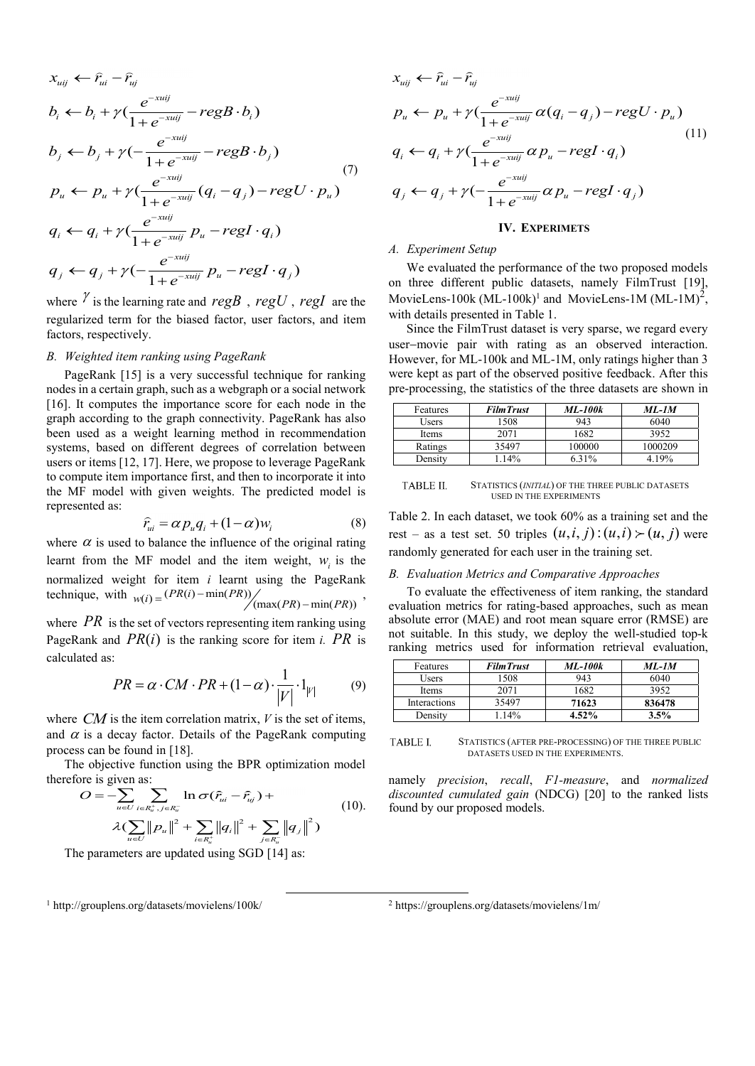$$
x_{uij} \leftarrow \hat{r}_{ui} - \hat{r}_{uj}
$$
\n
$$
b_i \leftarrow b_i + \gamma \left( \frac{e^{-xuij}}{1 + e^{-xuij}} - regB \cdot b_i \right)
$$
\n
$$
b_j \leftarrow b_j + \gamma \left( -\frac{e^{-xuij}}{1 + e^{-xuij}} - regB \cdot b_j \right)
$$
\n
$$
p_u \leftarrow p_u + \gamma \left( \frac{e^{-xuij}}{1 + e^{-xuij}} (q_i - q_j) - regU \cdot p_u \right)
$$
\n
$$
q_i \leftarrow q_i + \gamma \left( \frac{e^{-xuij}}{1 + e^{-xuij}} p_u - regI \cdot q_i \right)
$$
\n
$$
q_j \leftarrow q_j + \gamma \left( -\frac{e^{-xuij}}{1 + e^{-xuij}} p_u - regI \cdot q_j \right)
$$

where  $\gamma$  is the learning rate and *regB*, *regU*, *regI* are the regularized term for the biased factor, user factors, and item factors, respectively.

## *B. Weighted item ranking using PageRank*

PageRank [15] is a very successful technique for ranking nodes in a certain graph, such as a webgraph or a social network [16]. It computes the importance score for each node in the graph according to the graph connectivity. PageRank has also been used as a weight learning method in recommendation systems, based on different degrees of correlation between users or items [12, 17]. Here, we propose to leverage PageRank to compute item importance first, and then to incorporate it into the MF model with given weights. The predicted model is represented as:

$$
\hat{r}_{ui} = \alpha p_u q_i + (1 - \alpha) w_i \tag{8}
$$

where  $\alpha$  is used to balance the influence of the original rating learnt from the MF model and the item weight,  $w_i$  is the normalized weight for item *i* learnt using the PageRank technique, with  $w(i) = \frac{(PR(i) - \min(PR))}{\max(PR) - \min(PR)}$ ,

where *PR* is the set of vectors representing item ranking using PageRank and  $PR(i)$  is the ranking score for item *i.* PR is calculated as:

$$
PR = \alpha \cdot CM \cdot PR + (1 - \alpha) \cdot \frac{1}{|V|} \cdot 1_{|V|} \tag{9}
$$

where *CM* is the item correlation matrix, *V* is the set of items, and  $\alpha$  is a decay factor. Details of the PageRank computing process can be found in [18].

The objective function using the BPR optimization model

therefore is given as:  
\n
$$
O = -\sum_{u \in U} \sum_{i \in R_u^+} \sum_{j \in R_u^-} \ln \sigma(\hat{r}_{ui} - \hat{r}_{uj}) +
$$
\n
$$
\lambda (\sum_{u \in U} ||p_u||^2 + \sum_{i \in R_u^+} ||q_i||^2 + \sum_{j \in R_u^-} ||q_j||^2)
$$
\nThe parameters are undefined using SCQ. (10).

The parameters are updated using SGD [14] as:

1 http://grouplens.org/datasets/movielens/100k/

$$
x_{uij} \leftarrow \hat{r}_{ui} - \hat{r}_{uj}
$$
\n
$$
p_u \leftarrow p_u + \gamma \left( \frac{e^{-xuij}}{1 + e^{-xuij}} \alpha (q_i - q_j) - regU \cdot p_u \right)
$$
\n
$$
q_i \leftarrow q_i + \gamma \left( \frac{e^{-xuij}}{1 + e^{-xuij}} \alpha p_u - regI \cdot q_i \right)
$$
\n
$$
q_j \leftarrow q_j + \gamma \left( -\frac{e^{-xuij}}{1 + e^{-xuij}} \alpha p_u - regI \cdot q_j \right)
$$
\n(11)

## **IV. EXPERIMETS**

## *A. Experiment Setup*

We evaluated the performance of the two proposed models on three different public datasets, namely FilmTrust [19], MovieLens-100k  $(ML-100k)^1$  and MovieLens-1M  $(ML-1M)^2$ , with details presented in Table 1.

Since the FilmTrust dataset is very sparse, we regard every user-movie pair with rating as an observed interaction. However, for ML-100k and ML-1M, only ratings higher than 3 were kept as part of the observed positive feedback. After this pre-processing, the statistics of the three datasets are shown in

| Features | <b>Film Trust</b> | ML-100k | $ML-1M$ |
|----------|-------------------|---------|---------|
| Users    | 1508              | 943     | 6040    |
| Items    | 2071              | 1682    | 3952    |
| Ratings  | 35497             | 100000  | 1000209 |
| Density  | $1.14\%$          | 631%    | 4 19%   |

**TABLE II.** STATISTICS (*INITIAL*) OF THE THREE PUBLIC DATASETS USED IN THE EXPERIMENTS

Table 2. In each dataset, we took 60% as a training set and the rest – as a test set. 50 triples  $(u, i, j)$ : $(u, i)$   $\succ$   $(u, j)$  were randomly generated for each user in the training set.

#### *B. Evaluation Metrics and Comparative Approaches*

To evaluate the effectiveness of item ranking, the standard evaluation metrics for rating-based approaches, such as mean absolute error (MAE) and root mean square error (RMSE) are not suitable. In this study, we deploy the well-studied top-k ranking metrics used for information retrieval evaluation,

| Features     | <b>Film Trust</b> | <b>ML-100k</b> | ML-1M  |
|--------------|-------------------|----------------|--------|
| Users        | 1508              | 943            | 6040   |
| <b>Items</b> | 2071              | 1682           | 3952   |
| Interactions | 35497             | 71623          | 836478 |
| Density      | 14%               | $4.52\%$       | 3.5%   |

TABLE I. STATISTICS (AFTER PRE-PROCESSING) OF THE THREE PUBLIC DATASETS USED IN THE EXPERIMENTS.

namely *precision*, *recall*, *F1-measure*, and *normalized discounted cumulated gain* (NDCG) [20] to the ranked lists found by our proposed models.

<sup>2</sup> https://grouplens.org/datasets/movielens/1m/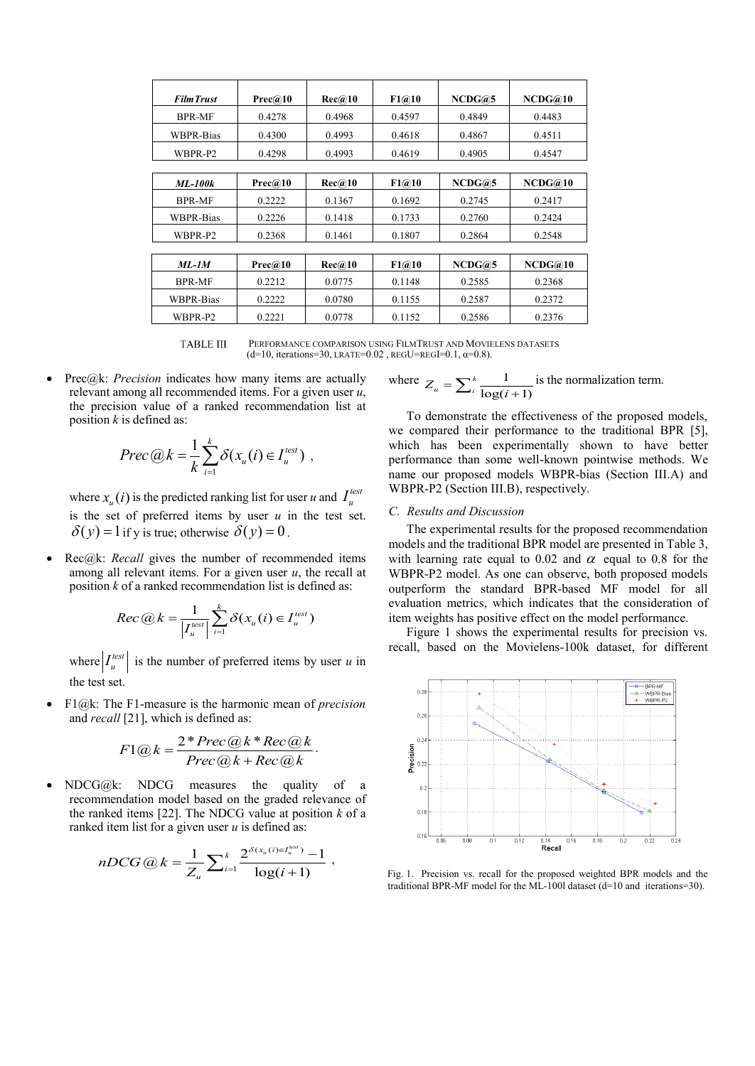| <b>Film Trust</b> | Prec@10 | Rec@10 | F1@10  | NCDG@5 | NCDG@10 |
|-------------------|---------|--------|--------|--------|---------|
| <b>BPR-MF</b>     | 0.4278  | 0.4968 | 0.4597 | 0.4849 | 0.4483  |
| <b>WBPR-Bias</b>  | 0.4300  | 0.4993 | 0.4618 | 0.4867 | 0.4511  |
| WBPR-P2           | 0.4298  | 0.4993 | 0.4619 | 0.4905 | 0.4547  |
|                   |         |        |        |        |         |
| ML-100k           | Prec@10 | Rec@10 | F1@10  | NCDG@5 | NCDG@10 |
| <b>BPR-MF</b>     | 0.2222  | 0.1367 | 0.1692 | 0.2745 | 0.2417  |
| <b>WBPR-Bias</b>  | 0.2226  | 0.1418 | 0.1733 | 0.2760 | 0.2424  |
| WBPR-P2           | 0.2368  | 0.1461 | 0.1807 | 0.2864 | 0.2548  |
|                   |         |        |        |        |         |
| $ML-1M$           | Prec@10 | Rec@10 | F1@10  | NCDG@5 | NCDG@10 |
| <b>BPR-MF</b>     | 0.2212  | 0.0775 | 0.1148 | 0.2585 | 0.2368  |
| WBPR-Bias         | 0.2222  | 0.0780 | 0.1155 | 0.2587 | 0.2372  |
| WBPR-P2           | 0.2221  | 0.0778 | 0.1152 | 0.2586 | 0.2376  |

**TABLE III.** PERFORMANCE COMPARISON USING FILMTRUST AND MOVIELENS DATASETS (d=10, iterations=30, LRATE=0.02, REGU=REGI=0.1,  $\alpha$ =0.8).

Prec@k: *Precision* indicates how many items are actually relevant among all recommended items. For a given user *u*, the precision value of a ranked recommendation list at position *k* is defined as:

$$
Prec @ k = \frac{1}{k} \sum_{i=1}^{k} \delta(x_u(i) \in I_u^{test}),
$$

where  $x_u(i)$  is the predicted ranking list for user *u* and  $I_u^{test}$ is the set of preferred items by user *u* in the test set.  $\delta(y) = 1$  if y is true; otherwise  $\delta(y) = 0$ .

Rec@k: *Recall* gives the number of recommended items among all relevant items. For a given user  $u$ , the recall at position *k* of a ranked recommendation list is defined as:

$$
Rec @ k = \frac{1}{\left| I_u^{test} \right|} \sum_{i=1}^{k} \delta(x_u(i) \in I_u^{test})
$$

where  $\left| I_u^{test} \right|$  is the number of preferred items by user *u* in the test set.

x F1@k: The F1-measure is the harmonic mean of *precision* and *recall* [21], which is defined as:

$$
F1@k = \frac{2*Prec@k*Rec@k}{Prec@k + Rec@k}.
$$

NDCG@k: NDCG measures the quality of a recommendation model based on the graded relevance of the ranked items [22]. The NDCG value at position *k* of a ranked item list for a given user *u* is defined as:

$$
nDCG @ k = \frac{1}{Z_u} \sum_{i=1}^k \frac{2^{\delta(x_u(i) \in I_u^{test})} - 1}{\log(i+1)},
$$

where 
$$
Z_u = \sum_{i}^{k} \frac{1}{\log(i+1)}
$$
 is the normalization term.

To demonstrate the effectiveness of the proposed models, we compared their performance to the traditional BPR [5], which has been experimentally shown to have better performance than some well-known pointwise methods. We name our proposed models WBPR-bias (Section III.A) and WBPR-P2 (Section III.B), respectively.

## *C. Results and Discussion*

The experimental results for the proposed recommendation models and the traditional BPR model are presented in Table 3, with learning rate equal to 0.02 and  $\alpha$  equal to 0.8 for the WBPR-P2 model. As one can observe, both proposed models outperform the standard BPR-based MF model for all evaluation metrics, which indicates that the consideration of item weights has positive effect on the model performance.

Figure 1 shows the experimental results for precision vs. recall, based on the Movielens-100k dataset, for different



Fig. 1. Precision vs. recall for the proposed weighted BPR models and the traditional BPR-MF model for the ML-100l dataset (d=10 and iterations=30).